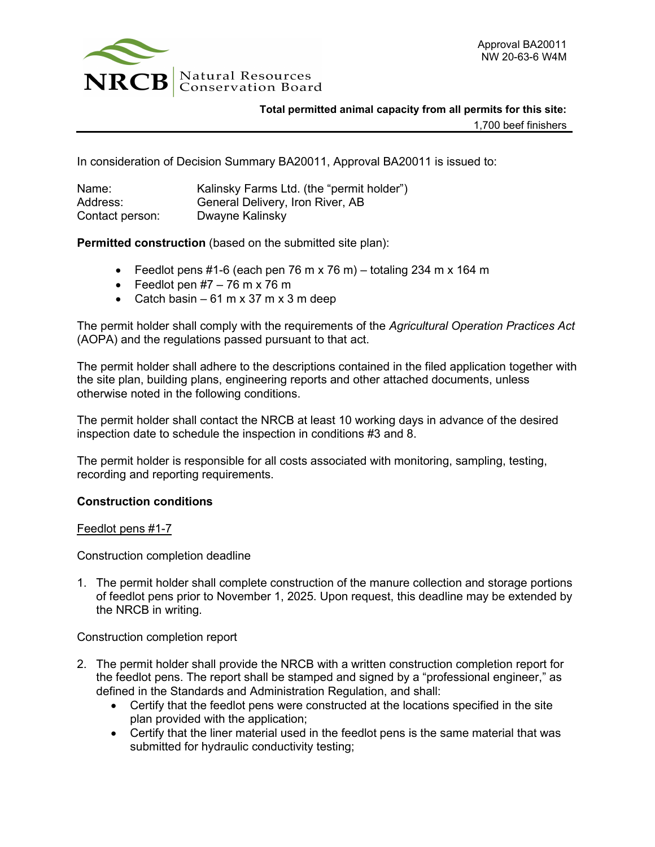

## **Total permitted animal capacity from all permits for this site:**

1,700 beef finishers

In consideration of Decision Summary BA20011, Approval BA20011 is issued to:

| Name:           | Kalinsky Farms Ltd. (the "permit holder") |
|-----------------|-------------------------------------------|
| Address:        | General Delivery, Iron River, AB          |
| Contact person: | Dwayne Kalinsky                           |

**Permitted construction** (based on the submitted site plan):

- Feedlot pens #1-6 (each pen 76 m x 76 m) totaling 234 m x 164 m
- Feedlot pen  $#7 76$  m x 76 m
- Catch basin  $-61$  m x 37 m x 3 m deep

The permit holder shall comply with the requirements of the *Agricultural Operation Practices Act* (AOPA) and the regulations passed pursuant to that act.

The permit holder shall adhere to the descriptions contained in the filed application together with the site plan, building plans, engineering reports and other attached documents, unless otherwise noted in the following conditions.

The permit holder shall contact the NRCB at least 10 working days in advance of the desired inspection date to schedule the inspection in conditions #3 and 8.

The permit holder is responsible for all costs associated with monitoring, sampling, testing, recording and reporting requirements.

## **Construction conditions**

Feedlot pens #1-7

Construction completion deadline

1. The permit holder shall complete construction of the manure collection and storage portions of feedlot pens prior to November 1, 2025. Upon request, this deadline may be extended by the NRCB in writing.

Construction completion report

- 2. The permit holder shall provide the NRCB with a written construction completion report for the feedlot pens. The report shall be stamped and signed by a "professional engineer," as defined in the Standards and Administration Regulation, and shall:
	- Certify that the feedlot pens were constructed at the locations specified in the site plan provided with the application;
	- Certify that the liner material used in the feedlot pens is the same material that was submitted for hydraulic conductivity testing;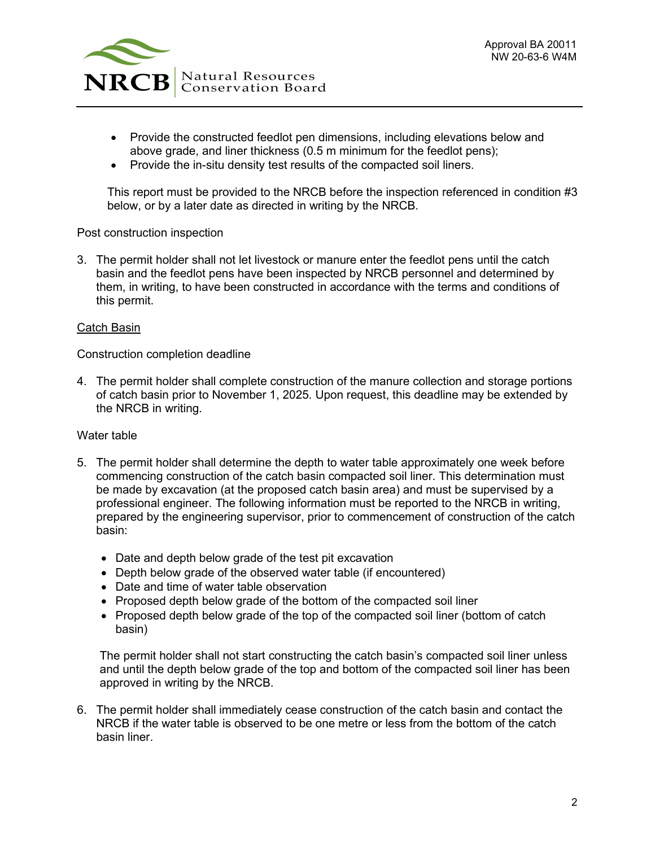

- Provide the constructed feedlot pen dimensions, including elevations below and above grade, and liner thickness (0.5 m minimum for the feedlot pens);
- Provide the in-situ density test results of the compacted soil liners.

This report must be provided to the NRCB before the inspection referenced in condition #3 below, or by a later date as directed in writing by the NRCB.

Post construction inspection

3. The permit holder shall not let livestock or manure enter the feedlot pens until the catch basin and the feedlot pens have been inspected by NRCB personnel and determined by them, in writing, to have been constructed in accordance with the terms and conditions of this permit.

## Catch Basin

Construction completion deadline

4. The permit holder shall complete construction of the manure collection and storage portions of catch basin prior to November 1, 2025. Upon request, this deadline may be extended by the NRCB in writing.

## Water table

- 5. The permit holder shall determine the depth to water table approximately one week before commencing construction of the catch basin compacted soil liner. This determination must be made by excavation (at the proposed catch basin area) and must be supervised by a professional engineer. The following information must be reported to the NRCB in writing, prepared by the engineering supervisor, prior to commencement of construction of the catch basin:
	- Date and depth below grade of the test pit excavation
	- Depth below grade of the observed water table (if encountered)
	- Date and time of water table observation
	- Proposed depth below grade of the bottom of the compacted soil liner
	- Proposed depth below grade of the top of the compacted soil liner (bottom of catch basin)

The permit holder shall not start constructing the catch basin's compacted soil liner unless and until the depth below grade of the top and bottom of the compacted soil liner has been approved in writing by the NRCB.

6. The permit holder shall immediately cease construction of the catch basin and contact the NRCB if the water table is observed to be one metre or less from the bottom of the catch basin liner.